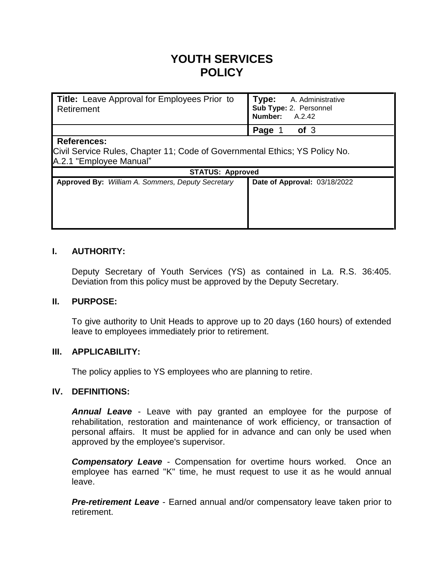# **YOUTH SERVICES POLICY**

| Title: Leave Approval for Employees Prior to<br>Retirement                                                                   | Type:<br>A. Administrative<br>Sub Type: 2. Personnel<br>Number:<br>A.2.42 |  |  |  |  |
|------------------------------------------------------------------------------------------------------------------------------|---------------------------------------------------------------------------|--|--|--|--|
|                                                                                                                              | Page<br>of <sub>3</sub>                                                   |  |  |  |  |
| <b>References:</b><br>Civil Service Rules, Chapter 11; Code of Governmental Ethics; YS Policy No.<br>A.2.1 "Employee Manual" |                                                                           |  |  |  |  |
| <b>STATUS: Approved</b>                                                                                                      |                                                                           |  |  |  |  |
| <b>Approved By:</b> William A. Sommers, Deputy Secretary                                                                     | Date of Approval: 03/18/2022                                              |  |  |  |  |

#### **I. AUTHORITY:**

Deputy Secretary of Youth Services (YS) as contained in La. R.S. 36:405. Deviation from this policy must be approved by the Deputy Secretary.

#### **II. PURPOSE:**

To give authority to Unit Heads to approve up to 20 days (160 hours) of extended leave to employees immediately prior to retirement.

#### **III. APPLICABILITY:**

The policy applies to YS employees who are planning to retire.

#### **IV. DEFINITIONS:**

*Annual Leave* - Leave with pay granted an employee for the purpose of rehabilitation, restoration and maintenance of work efficiency, or transaction of personal affairs. It must be applied for in advance and can only be used when approved by the employee's supervisor.

*Compensatory Leave* - Compensation for overtime hours worked. Once an employee has earned "K" time, he must request to use it as he would annual leave.

*Pre-retirement Leave* - Earned annual and/or compensatory leave taken prior to retirement.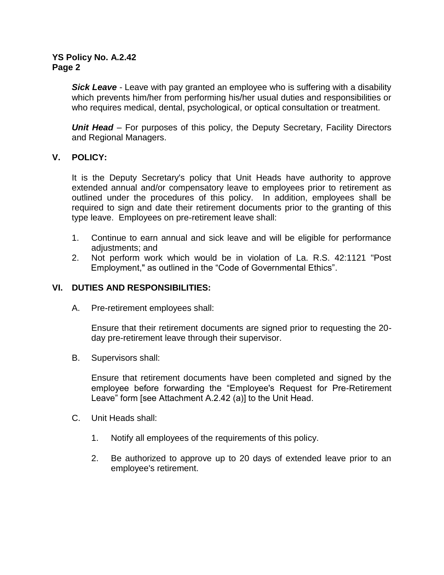#### **YS Policy No. A.2.42 Page 2**

*Sick Leave* - Leave with pay granted an employee who is suffering with a disability which prevents him/her from performing his/her usual duties and responsibilities or who requires medical, dental, psychological, or optical consultation or treatment.

*Unit Head* – For purposes of this policy, the Deputy Secretary, Facility Directors and Regional Managers.

#### **V. POLICY:**

It is the Deputy Secretary's policy that Unit Heads have authority to approve extended annual and/or compensatory leave to employees prior to retirement as outlined under the procedures of this policy. In addition, employees shall be required to sign and date their retirement documents prior to the granting of this type leave. Employees on pre-retirement leave shall:

- 1. Continue to earn annual and sick leave and will be eligible for performance adjustments; and
- 2. Not perform work which would be in violation of La. R.S. 42:1121 "Post Employment," as outlined in the "Code of Governmental Ethics".

### **VI. DUTIES AND RESPONSIBILITIES:**

A. Pre-retirement employees shall:

Ensure that their retirement documents are signed prior to requesting the 20 day pre-retirement leave through their supervisor.

B. Supervisors shall:

Ensure that retirement documents have been completed and signed by the employee before forwarding the "Employee's Request for Pre-Retirement Leave" form [see Attachment A.2.42 (a)] to the Unit Head.

- C. Unit Heads shall:
	- 1. Notify all employees of the requirements of this policy.
	- 2. Be authorized to approve up to 20 days of extended leave prior to an employee's retirement.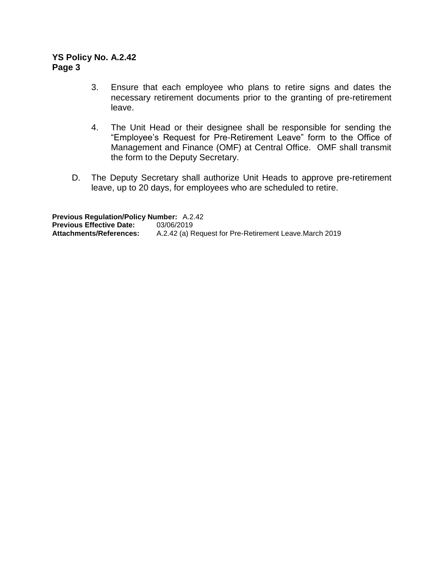#### **YS Policy No. A.2.42 Page 3**

- 3. Ensure that each employee who plans to retire signs and dates the necessary retirement documents prior to the granting of pre-retirement leave.
- 4. The Unit Head or their designee shall be responsible for sending the "Employee's Request for Pre-Retirement Leave" form to the Office of Management and Finance (OMF) at Central Office. OMF shall transmit the form to the Deputy Secretary.
- D. The Deputy Secretary shall authorize Unit Heads to approve pre-retirement leave, up to 20 days, for employees who are scheduled to retire.

**Previous Regulation/Policy Number:** A.2.42 **Previous Effective Date:** 03/06/2019<br>**Attachments/References:** A.2.42 (a) R A.2.42 (a) Request for Pre-Retirement Leave.March 2019